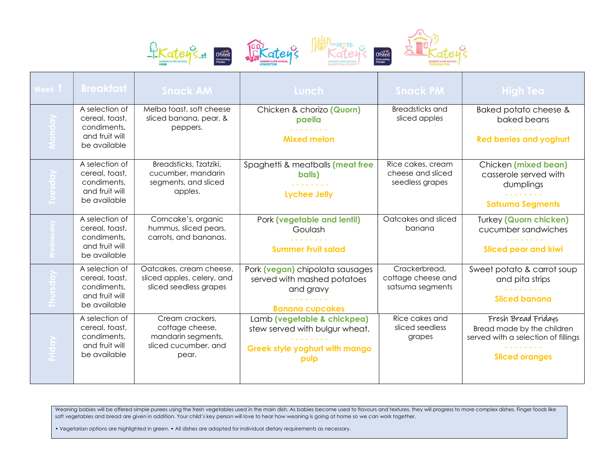







Weaning babies will be offered simple purees using the fresh vegetables used in the main dish. As babies become used to flavours and textures, they will progress to more complex dishes. Finger foods like soft vegetables and bread are given in addition. Your child's key person will love to hear how weaning is going at home so we can work together.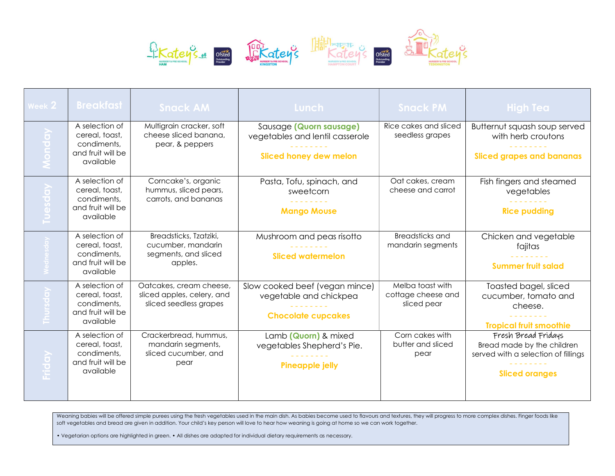

| Week 2                                           | <b>Breakfast</b>                                                                  | <b>Snack AM</b>                                                                 | Lunch                                                                                       | <b>Snack PM</b>                                       | <b>High Tea</b>                                                                                                   |
|--------------------------------------------------|-----------------------------------------------------------------------------------|---------------------------------------------------------------------------------|---------------------------------------------------------------------------------------------|-------------------------------------------------------|-------------------------------------------------------------------------------------------------------------------|
| $\overline{O}$<br>$\overline{\mathbf{C}}$<br>Mon | A selection of<br>cereal, toast,<br>condiments.<br>and fruit will be<br>available | Multigrain cracker, soft<br>cheese sliced banana,<br>pear, & peppers            | Sausage (Quorn sausage)<br>vegetables and lentil casserole<br><b>Sliced honey dew melon</b> | Rice cakes and sliced<br>seedless grapes              | Butternut squash soup served<br>with herb croutons<br><b>Sliced grapes and bananas</b>                            |
| $\overrightarrow{a}$<br>Tuesdo                   | A selection of<br>cereal, toast,<br>condiments,<br>and fruit will be<br>available | Corncake's, organic<br>hummus, sliced pears,<br>carrots, and bananas            | Pasta, Tofu, spinach, and<br>sweetcorn<br><b>Mango Mouse</b>                                | Oat cakes, cream<br>cheese and carrot                 | Fish fingers and steamed<br>vegetables<br><b>Rice pudding</b>                                                     |
| $\frac{d}{d\alpha}$                              | A selection of<br>cereal, toast,<br>condiments,<br>and fruit will be<br>available | Breadsticks, Tzatziki,<br>cucumber, mandarin<br>segments, and sliced<br>apples. | Mushroom and peas risotto<br><b>Sliced watermelon</b>                                       | Breadsticks and<br>mandarin segments                  | Chicken and vegetable<br>fajitas<br><b>Summer fruit salad</b>                                                     |
| $\overline{a}$<br>Thursde                        | A selection of<br>cereal, toast,<br>condiments,<br>and fruit will be<br>available | Oatcakes, cream cheese,<br>sliced apples, celery, and<br>sliced seedless grapes | Slow cooked beef (vegan mince)<br>vegetable and chickpea<br><b>Chocolate cupcakes</b>       | Melba toast with<br>cottage cheese and<br>sliced pear | Toasted bagel, sliced<br>cucumber, tomato and<br>cheese.<br><b>Tropical fruit smoothie</b>                        |
| Friday                                           | A selection of<br>cereal, toast,<br>condiments,<br>and fruit will be<br>available | Crackerbread, hummus,<br>mandarin segments,<br>sliced cucumber, and<br>pear     | Lamb (Quorn) & mixed<br>vegetables Shepherd's Pie.<br><b>Pineapple jelly</b>                | Corn cakes with<br>butter and sliced<br>pear          | Fresh Bread Fridays<br>Bread made by the children<br>served with a selection of fillings<br><b>Sliced oranges</b> |

Weaning babies will be offered simple purees using the fresh vegetables used in the main dish. As babies become used to flavours and textures, they will progress to more complex dishes. Finger foods like soft vegetables and bread are given in addition. Your child's key person will love to hear how weaning is going at home so we can work together.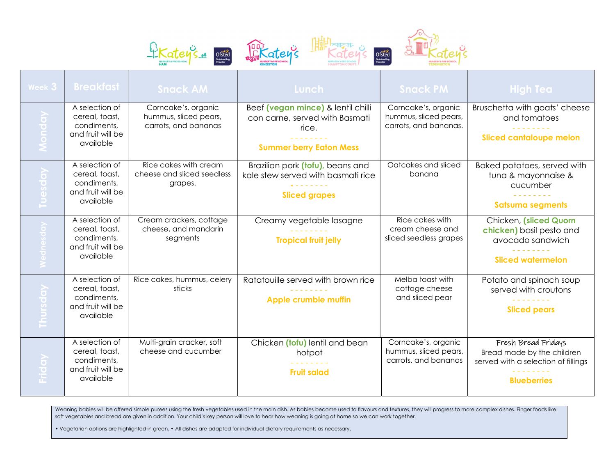







| Week 3                                              | <b>Breakfast</b>                                                                  | <b>Snack AM</b>                                                      | Lunch                                                                                                           | <b>Snack PM</b>                                                       | <b>High Tea</b>                                                                                                |
|-----------------------------------------------------|-----------------------------------------------------------------------------------|----------------------------------------------------------------------|-----------------------------------------------------------------------------------------------------------------|-----------------------------------------------------------------------|----------------------------------------------------------------------------------------------------------------|
| $\overline{O}$<br>$\overline{\bullet}$<br>$\subset$ | A selection of<br>cereal, toast,<br>condiments,<br>and fruit will be<br>available | Corncake's, organic<br>hummus, sliced pears,<br>carrots, and bananas | Beef (vegan mince) & lentil chilli<br>con carne, served with Basmati<br>rice.<br><b>Summer berry Eaton Mess</b> | Corncake's, organic<br>hummus, sliced pears,<br>carrots, and bananas. | Bruschetta with goats' cheese<br>and tomatoes<br><b>Sliced cantaloupe melon</b>                                |
|                                                     | A selection of<br>cereal, toast,<br>condiments,<br>and fruit will be<br>available | Rice cakes with cream<br>cheese and sliced seedless<br>grapes.       | Brazilian pork (tofu), beans and<br>kale stew served with basmati rice<br><b>Sliced grapes</b>                  | Oatcakes and sliced<br>banana                                         | Baked potatoes, served with<br>tuna & mayonnaise &<br>cucumber<br><b>Satsuma segments</b>                      |
|                                                     | A selection of<br>cereal, toast,<br>condiments,<br>and fruit will be<br>available | Cream crackers, cottage<br>cheese, and mandarin<br>segments          | Creamy vegetable lasagne<br><b>Tropical fruit jelly</b>                                                         | Rice cakes with<br>cream cheese and<br>sliced seedless grapes         | Chicken, (sliced Quorn<br>chicken) basil pesto and<br>avocado sandwich<br><b>Sliced watermelon</b>             |
| $\overline{\text{C}}$<br>Ē                          | A selection of<br>cereal, toast,<br>condiments,<br>and fruit will be<br>available | Rice cakes, hummus, celery<br>sticks                                 | Ratatouille served with brown rice<br>Apple crumble muffin                                                      | Melba toast with<br>cottage cheese<br>and sliced pear                 | Potato and spinach soup<br>served with croutons<br><b>Sliced pears</b>                                         |
| $\overline{O}$<br>Erid                              | A selection of<br>cereal, toast,<br>condiments,<br>and fruit will be<br>available | Multi-grain cracker, soft<br>cheese and cucumber                     | Chicken (tofu) lentil and bean<br>hotpot<br><b>Fruit salad</b>                                                  | Corncake's, organic<br>hummus, sliced pears,<br>carrots, and bananas  | Fresh Bread Fridays<br>Bread made by the children<br>served with a selection of fillings<br><b>Blueberries</b> |

Weaning babies will be offered simple purees using the fresh vegetables used in the main dish. As babies become used to flavours and textures, they will progress to more complex dishes. Finger foods like soft vegetables and bread are given in addition. Your child's key person will love to hear how weaning is going at home so we can work together.